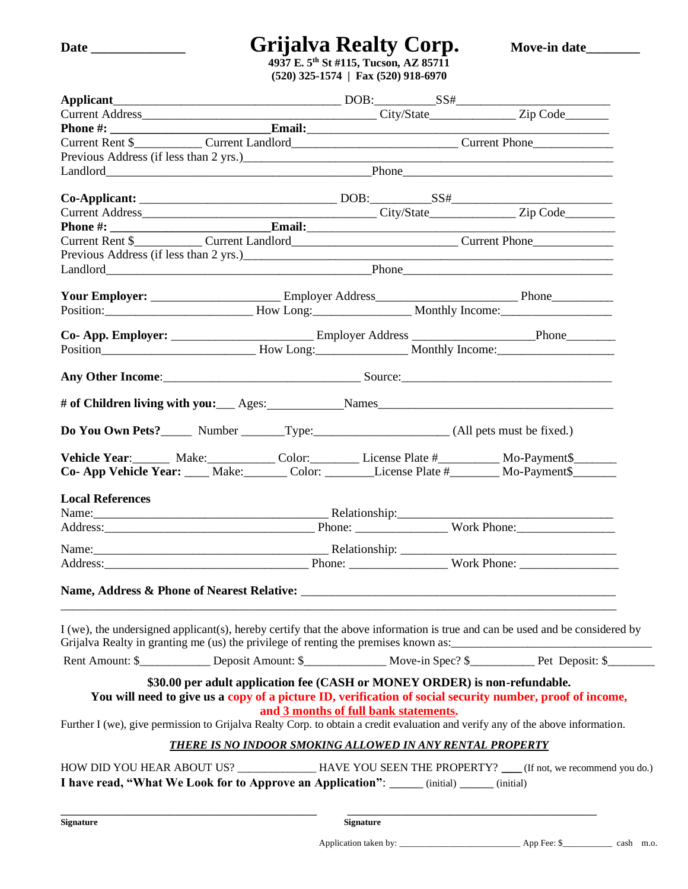# **Date \_\_\_\_\_\_\_\_\_\_\_\_\_\_ Grijalva Realty Corp. Move-in date\_\_\_\_\_\_\_\_**

**4937 E. 5th St #115, Tucson, AZ 85711 (520) 325-1574 | Fax (520) 918-6970**

|                         | Previous Address (if less than 2 yrs.) Contact the contract of the contract of the contract of the contract of the contract of the contract of the contract of the contract of the contract of the contract of the contract of |                                       |  |  |
|-------------------------|--------------------------------------------------------------------------------------------------------------------------------------------------------------------------------------------------------------------------------|---------------------------------------|--|--|
|                         | Landlord Phone Phone Phone Phone Phone Phone Phone Phone Phone Phone Phone Phone Phone Phone Phone Phone Phone Phone Phone Phone Phone Phone Phone Phone Phone Phone Phone Phone Phone Phone Phone Phone Phone Phone Phone Pho |                                       |  |  |
|                         | $Co\text{-}{\bf Applicant:}\_\_\_\_\_\_\_\_$ DOB: $SS#$                                                                                                                                                                        |                                       |  |  |
|                         |                                                                                                                                                                                                                                |                                       |  |  |
|                         |                                                                                                                                                                                                                                |                                       |  |  |
|                         |                                                                                                                                                                                                                                |                                       |  |  |
|                         |                                                                                                                                                                                                                                |                                       |  |  |
|                         |                                                                                                                                                                                                                                |                                       |  |  |
|                         |                                                                                                                                                                                                                                |                                       |  |  |
|                         |                                                                                                                                                                                                                                |                                       |  |  |
|                         | Position: Monthly Income: Monthly Income: 2010.                                                                                                                                                                                |                                       |  |  |
|                         |                                                                                                                                                                                                                                |                                       |  |  |
|                         |                                                                                                                                                                                                                                |                                       |  |  |
|                         |                                                                                                                                                                                                                                |                                       |  |  |
|                         |                                                                                                                                                                                                                                |                                       |  |  |
|                         | # of Children living with you: Ages: Names                                                                                                                                                                                     |                                       |  |  |
|                         |                                                                                                                                                                                                                                |                                       |  |  |
|                         | Vehicle Year: Make: Color: License Plate # Mo-Payment\$                                                                                                                                                                        |                                       |  |  |
|                         | Co- App Vehicle Year: ____ Make: ______ Color: _______License Plate #______ Mo-Payment\$______                                                                                                                                 |                                       |  |  |
|                         |                                                                                                                                                                                                                                |                                       |  |  |
| <b>Local References</b> |                                                                                                                                                                                                                                |                                       |  |  |
|                         |                                                                                                                                                                                                                                |                                       |  |  |
|                         | Address: North Phone: North Phone: North Phone: North Phone:                                                                                                                                                                   |                                       |  |  |
|                         |                                                                                                                                                                                                                                |                                       |  |  |
|                         |                                                                                                                                                                                                                                |                                       |  |  |
|                         |                                                                                                                                                                                                                                |                                       |  |  |
|                         | I (we), the undersigned applicant(s), hereby certify that the above information is true and can be used and be considered by<br>Grijalva Realty in granting me (us) the privilege of renting the premises known as:            |                                       |  |  |
|                         |                                                                                                                                                                                                                                |                                       |  |  |
|                         |                                                                                                                                                                                                                                |                                       |  |  |
|                         | \$30.00 per adult application fee (CASH or MONEY ORDER) is non-refundable.<br>You will need to give us a copy of a picture ID, verification of social security number, proof of income,                                        | and 3 months of full bank statements. |  |  |
|                         | Further I (we), give permission to Grijalva Realty Corp. to obtain a credit evaluation and verify any of the above information.                                                                                                |                                       |  |  |
|                         | THERE IS NO INDOOR SMOKING ALLOWED IN ANY RENTAL PROPERTY                                                                                                                                                                      |                                       |  |  |
|                         |                                                                                                                                                                                                                                |                                       |  |  |
|                         |                                                                                                                                                                                                                                |                                       |  |  |
|                         | HOW DID YOU HEAR ABOUT US? _____________HAVE YOU SEEN THE PROPERTY? ___(If not, we recommend you do.)<br>I have read, "What We Look for to Approve an Application": _____ (initial) _____ (initial)                            |                                       |  |  |

**Signature Signature**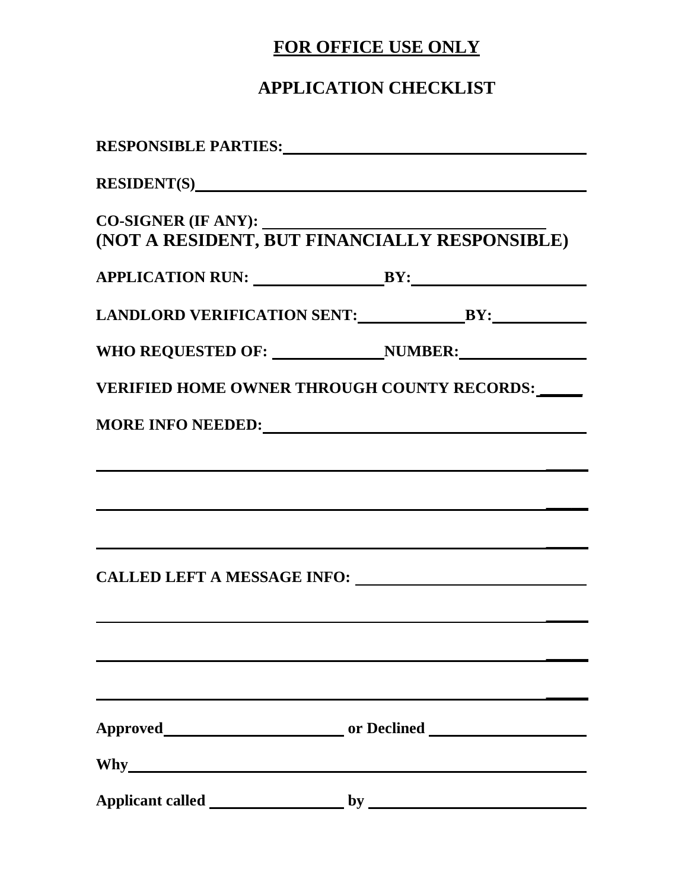### **FOR OFFICE USE ONLY**

### **APPLICATION CHECKLIST**

| (NOT A RESIDENT, BUT FINANCIALLY RESPONSIBLE)                                                                         |  |
|-----------------------------------------------------------------------------------------------------------------------|--|
|                                                                                                                       |  |
|                                                                                                                       |  |
| WHO REQUESTED OF: NUMBER:                                                                                             |  |
| VERIFIED HOME OWNER THROUGH COUNTY RECORDS:                                                                           |  |
| MORE INFO NEEDED:                                                                                                     |  |
| <u> 1989 - Johann Harry Harry Harry Harry Harry Harry Harry Harry Harry Harry Harry Harry Harry Harry Harry Harry</u> |  |
|                                                                                                                       |  |
|                                                                                                                       |  |
|                                                                                                                       |  |
|                                                                                                                       |  |
|                                                                                                                       |  |
|                                                                                                                       |  |
|                                                                                                                       |  |
|                                                                                                                       |  |
|                                                                                                                       |  |
|                                                                                                                       |  |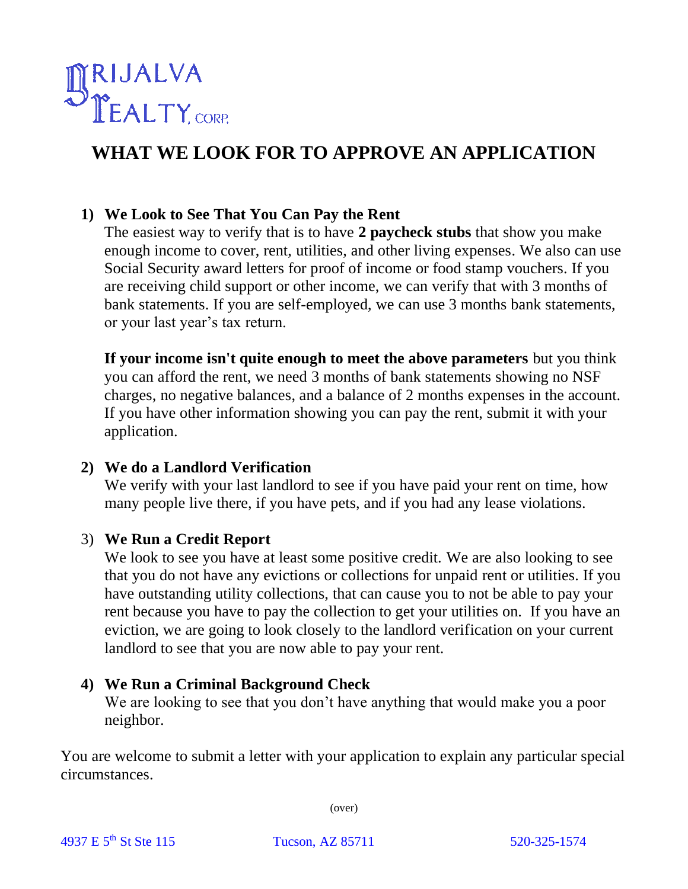

## **WHAT WE LOOK FOR TO APPROVE AN APPLICATION**

#### **1) We Look to See That You Can Pay the Rent**

The easiest way to verify that is to have **2 paycheck stubs** that show you make enough income to cover, rent, utilities, and other living expenses. We also can use Social Security award letters for proof of income or food stamp vouchers. If you are receiving child support or other income, we can verify that with 3 months of bank statements. If you are self-employed, we can use 3 months bank statements, or your last year's tax return.

**If your income isn't quite enough to meet the above parameters** but you think you can afford the rent, we need 3 months of bank statements showing no NSF charges, no negative balances, and a balance of 2 months expenses in the account. If you have other information showing you can pay the rent, submit it with your application.

#### **2) We do a Landlord Verification**

We verify with your last landlord to see if you have paid your rent on time, how many people live there, if you have pets, and if you had any lease violations.

#### 3) **We Run a Credit Report**

We look to see you have at least some positive credit. We are also looking to see that you do not have any evictions or collections for unpaid rent or utilities. If you have outstanding utility collections, that can cause you to not be able to pay your rent because you have to pay the collection to get your utilities on. If you have an eviction, we are going to look closely to the landlord verification on your current landlord to see that you are now able to pay your rent.

#### **4) We Run a Criminal Background Check**

We are looking to see that you don't have anything that would make you a poor neighbor.

You are welcome to submit a letter with your application to explain any particular special circumstances.

(over)